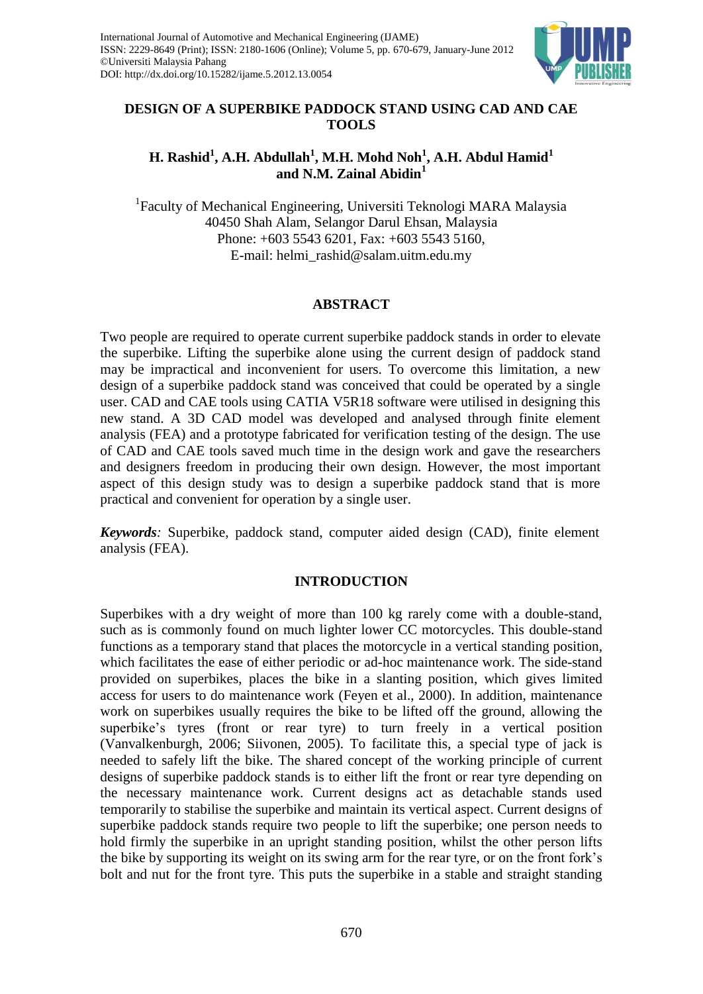

# **DESIGN OF A SUPERBIKE PADDOCK STAND USING CAD AND CAE TOOLS**

# **H. Rashid<sup>1</sup> , A.H. Abdullah<sup>1</sup> , M.H. Mohd Noh<sup>1</sup> , A.H. Abdul Hamid<sup>1</sup> and N.M. Zainal Abidin<sup>1</sup>**

<sup>1</sup>Faculty of Mechanical Engineering, Universiti Teknologi MARA Malaysia 40450 Shah Alam, Selangor Darul Ehsan, Malaysia Phone: +603 5543 6201, Fax: +603 5543 5160, E-mail: helmi\_rashid@salam.uitm.edu.my

# **ABSTRACT**

Two people are required to operate current superbike paddock stands in order to elevate the superbike. Lifting the superbike alone using the current design of paddock stand may be impractical and inconvenient for users. To overcome this limitation, a new design of a superbike paddock stand was conceived that could be operated by a single user. CAD and CAE tools using CATIA V5R18 software were utilised in designing this new stand. A 3D CAD model was developed and analysed through finite element analysis (FEA) and a prototype fabricated for verification testing of the design. The use of CAD and CAE tools saved much time in the design work and gave the researchers and designers freedom in producing their own design. However, the most important aspect of this design study was to design a superbike paddock stand that is more practical and convenient for operation by a single user.

*Keywords:* Superbike, paddock stand, computer aided design (CAD), finite element analysis (FEA).

# **INTRODUCTION**

Superbikes with a dry weight of more than 100 kg rarely come with a double-stand, such as is commonly found on much lighter lower CC motorcycles. This double-stand functions as a temporary stand that places the motorcycle in a vertical standing position, which facilitates the ease of either periodic or ad-hoc maintenance work. The side-stand provided on superbikes, places the bike in a slanting position, which gives limited access for users to do maintenance work (Feyen et al., 2000). In addition, maintenance work on superbikes usually requires the bike to be lifted off the ground, allowing the superbike's tyres (front or rear tyre) to turn freely in a vertical position (Vanvalkenburgh, 2006; Siivonen, 2005). To facilitate this, a special type of jack is needed to safely lift the bike. The shared concept of the working principle of current designs of superbike paddock stands is to either lift the front or rear tyre depending on the necessary maintenance work. Current designs act as detachable stands used temporarily to stabilise the superbike and maintain its vertical aspect. Current designs of superbike paddock stands require two people to lift the superbike; one person needs to hold firmly the superbike in an upright standing position, whilst the other person lifts the bike by supporting its weight on its swing arm for the rear tyre, or on the front fork's bolt and nut for the front tyre. This puts the superbike in a stable and straight standing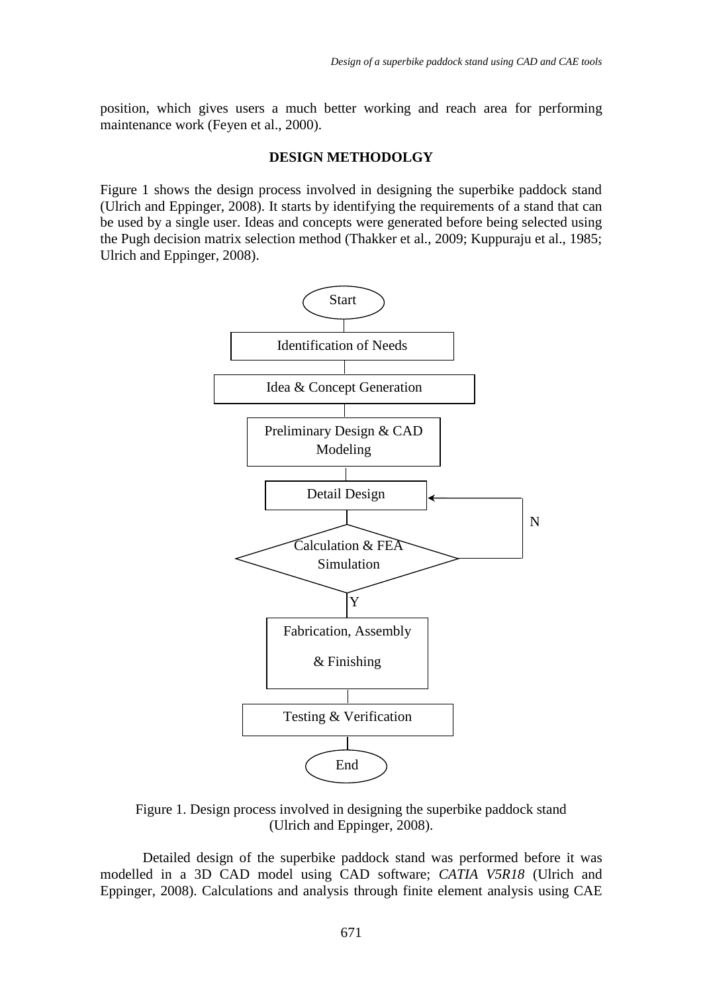position, which gives users a much better working and reach area for performing maintenance work (Feyen et al., 2000).

#### **DESIGN METHODOLGY**

Figure 1 shows the design process involved in designing the superbike paddock stand (Ulrich and Eppinger, 2008). It starts by identifying the requirements of a stand that can be used by a single user. Ideas and concepts were generated before being selected using the Pugh decision matrix selection method (Thakker et al., 2009; Kuppuraju et al., 1985; Ulrich and Eppinger, 2008).



Figure 1. Design process involved in designing the superbike paddock stand (Ulrich and Eppinger, 2008).

Detailed design of the superbike paddock stand was performed before it was modelled in a 3D CAD model using CAD software; *CATIA V5R18* (Ulrich and Eppinger, 2008). Calculations and analysis through finite element analysis using CAE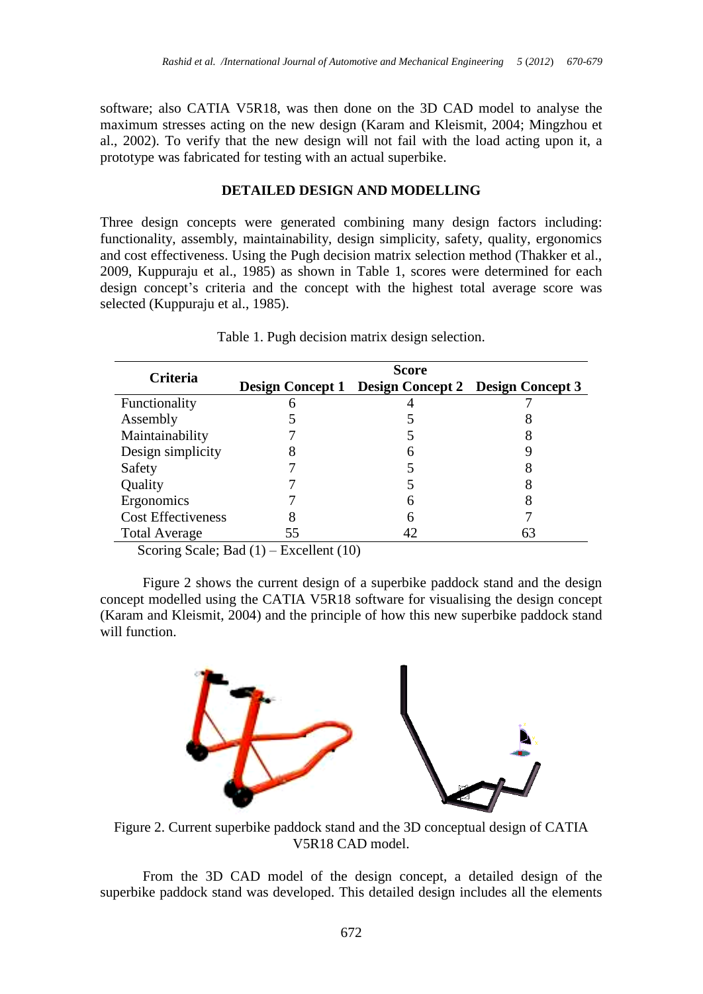software; also CATIA V5R18, was then done on the 3D CAD model to analyse the maximum stresses acting on the new design (Karam and Kleismit, 2004; Mingzhou et al., 2002). To verify that the new design will not fail with the load acting upon it, a prototype was fabricated for testing with an actual superbike.

## **DETAILED DESIGN AND MODELLING**

Three design concepts were generated combining many design factors including: functionality, assembly, maintainability, design simplicity, safety, quality, ergonomics and cost effectiveness. Using the Pugh decision matrix selection method (Thakker et al., 2009, Kuppuraju et al., 1985) as shown in Table 1, scores were determined for each design concept's criteria and the concept with the highest total average score was selected (Kuppuraju et al., 1985).

| Criteria                  | Score |                                                    |  |
|---------------------------|-------|----------------------------------------------------|--|
|                           |       | Design Concept 1 Design Concept 2 Design Concept 3 |  |
| Functionality             | n     |                                                    |  |
| Assembly                  |       |                                                    |  |
| Maintainability           |       |                                                    |  |
| Design simplicity         |       |                                                    |  |
| Safety                    |       |                                                    |  |
| Quality                   |       |                                                    |  |
| Ergonomics                |       | h                                                  |  |
| <b>Cost Effectiveness</b> |       | h                                                  |  |
| <b>Total Average</b>      | 55    |                                                    |  |

Table 1. Pugh decision matrix design selection.

Scoring Scale; Bad (1) – Excellent (10)

Figure 2 shows the current design of a superbike paddock stand and the design concept modelled using the CATIA V5R18 software for visualising the design concept (Karam and Kleismit, 2004) and the principle of how this new superbike paddock stand will function.



Figure 2. Current superbike paddock stand and the 3D conceptual design of CATIA V5R18 CAD model.

From the 3D CAD model of the design concept, a detailed design of the superbike paddock stand was developed. This detailed design includes all the elements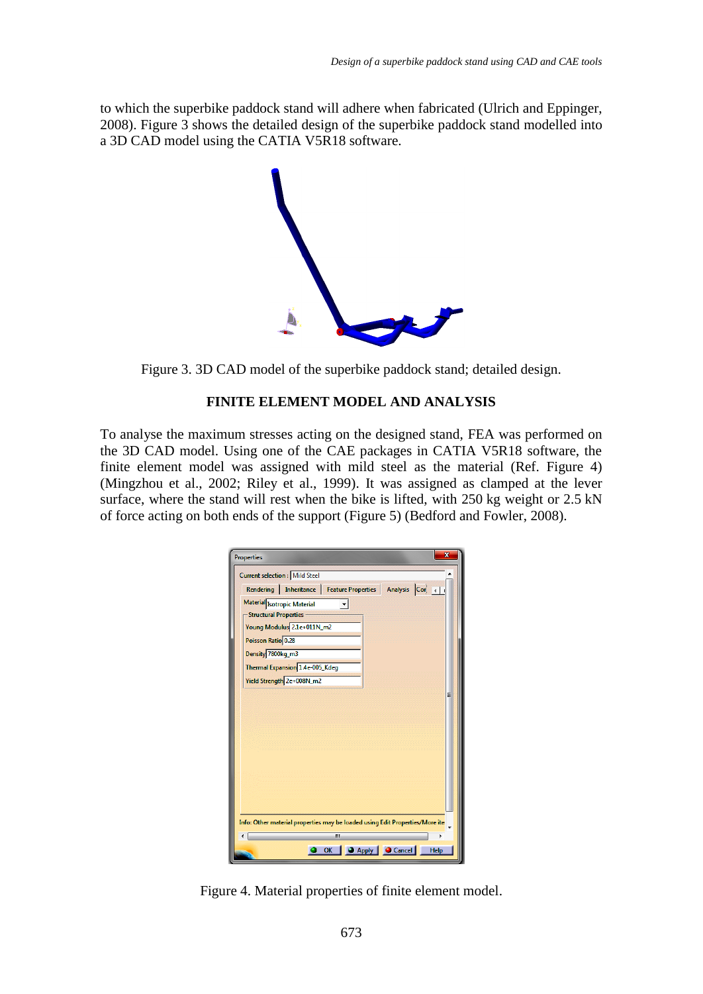to which the superbike paddock stand will adhere when fabricated (Ulrich and Eppinger, 2008). Figure 3 shows the detailed design of the superbike paddock stand modelled into a 3D CAD model using the CATIA V5R18 software.



Figure 3. 3D CAD model of the superbike paddock stand; detailed design.

## **FINITE ELEMENT MODEL AND ANALYSIS**

To analyse the maximum stresses acting on the designed stand, FEA was performed on the 3D CAD model. Using one of the CAE packages in CATIA V5R18 software, the finite element model was assigned with mild steel as the material (Ref. Figure 4) (Mingzhou et al., 2002; Riley et al., 1999). It was assigned as clamped at the lever surface, where the stand will rest when the bike is lifted, with 250 kg weight or 2.5 kN of force acting on both ends of the support (Figure 5) (Bedford and Fowler, 2008).

| $\overline{\mathbf{x}}$<br><b>Properties</b>                                         |  |  |  |  |  |
|--------------------------------------------------------------------------------------|--|--|--|--|--|
| <b>Current selection : Mild Steel</b>                                                |  |  |  |  |  |
| Rendering   Inheritance   Feature Properties   Analysis Cor                          |  |  |  |  |  |
| Material Isotropic Material<br>- Structural Properties<br>Young Modulus 2.1e+011N_m2 |  |  |  |  |  |
| Poisson Ratio 0.28                                                                   |  |  |  |  |  |
| Density 7800kg_m3<br>Thermal Expansion 1.4e-005_Kdeg                                 |  |  |  |  |  |
| Yield Strength 2e+008N_m2                                                            |  |  |  |  |  |
| Ξ                                                                                    |  |  |  |  |  |
| Info: Other material properties may be loaded using Edit Properties/More ite         |  |  |  |  |  |
| Ш<br>OK   CApply   Cancel<br>Help                                                    |  |  |  |  |  |

Figure 4. Material properties of finite element model.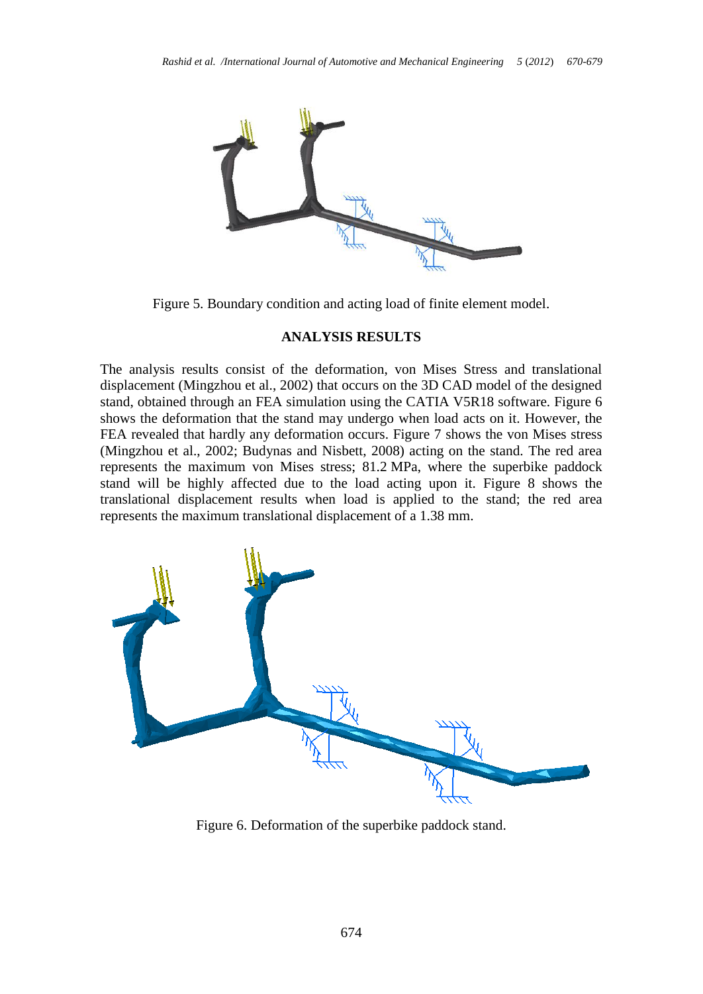

Figure 5. Boundary condition and acting load of finite element model.

## **ANALYSIS RESULTS**

The analysis results consist of the deformation, von Mises Stress and translational displacement (Mingzhou et al., 2002) that occurs on the 3D CAD model of the designed stand, obtained through an FEA simulation using the CATIA V5R18 software. Figure 6 shows the deformation that the stand may undergo when load acts on it. However, the FEA revealed that hardly any deformation occurs. Figure 7 shows the von Mises stress (Mingzhou et al., 2002; Budynas and Nisbett, 2008) acting on the stand. The red area represents the maximum von Mises stress; 81.2 MPa, where the superbike paddock stand will be highly affected due to the load acting upon it. Figure 8 shows the translational displacement results when load is applied to the stand; the red area represents the maximum translational displacement of a 1.38 mm.



Figure 6. Deformation of the superbike paddock stand.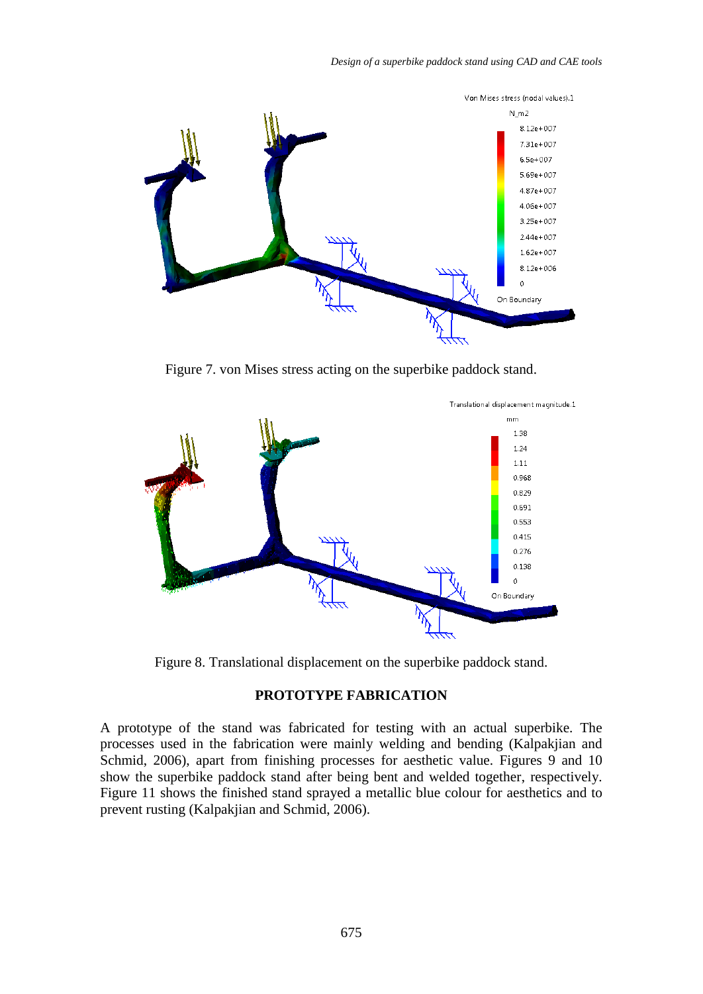

Figure 7. von Mises stress acting on the superbike paddock stand.



Figure 8. Translational displacement on the superbike paddock stand.

## **PROTOTYPE FABRICATION**

A prototype of the stand was fabricated for testing with an actual superbike. The processes used in the fabrication were mainly welding and bending (Kalpakjian and Schmid, 2006), apart from finishing processes for aesthetic value. Figures 9 and 10 show the superbike paddock stand after being bent and welded together, respectively. Figure 11 shows the finished stand sprayed a metallic blue colour for aesthetics and to prevent rusting (Kalpakjian and Schmid, 2006).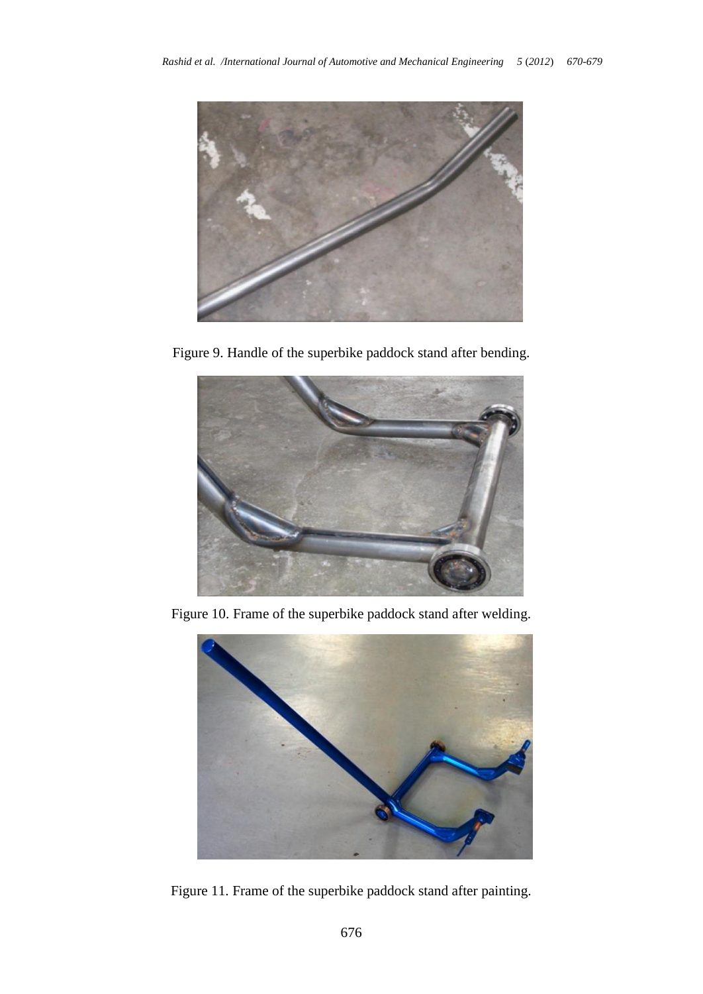

Figure 9. Handle of the superbike paddock stand after bending.



Figure 10. Frame of the superbike paddock stand after welding.



Figure 11. Frame of the superbike paddock stand after painting.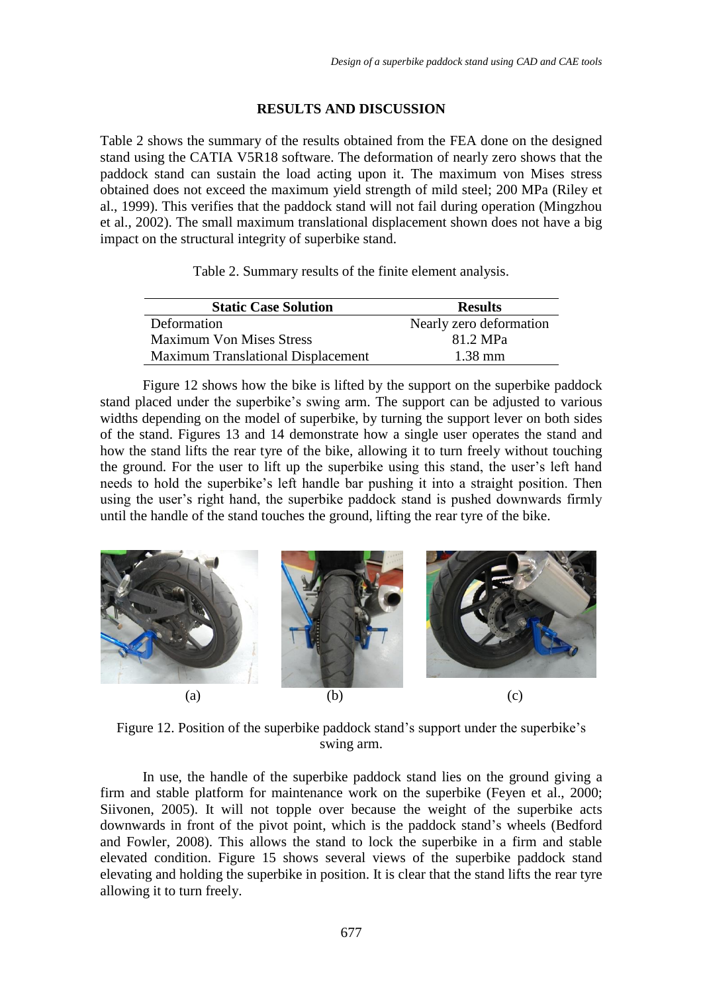### **RESULTS AND DISCUSSION**

Table 2 shows the summary of the results obtained from the FEA done on the designed stand using the CATIA V5R18 software. The deformation of nearly zero shows that the paddock stand can sustain the load acting upon it. The maximum von Mises stress obtained does not exceed the maximum yield strength of mild steel; 200 MPa (Riley et al., 1999). This verifies that the paddock stand will not fail during operation (Mingzhou et al., 2002). The small maximum translational displacement shown does not have a big impact on the structural integrity of superbike stand.

Table 2. Summary results of the finite element analysis.

| <b>Static Case Solution</b>               | <b>Results</b>          |
|-------------------------------------------|-------------------------|
| Deformation                               | Nearly zero deformation |
| <b>Maximum Von Mises Stress</b>           | 81.2 MPa                |
| <b>Maximum Translational Displacement</b> | $1.38 \text{ mm}$       |

Figure 12 shows how the bike is lifted by the support on the superbike paddock stand placed under the superbike's swing arm. The support can be adjusted to various widths depending on the model of superbike, by turning the support lever on both sides of the stand. Figures 13 and 14 demonstrate how a single user operates the stand and how the stand lifts the rear tyre of the bike, allowing it to turn freely without touching the ground. For the user to lift up the superbike using this stand, the user's left hand needs to hold the superbike's left handle bar pushing it into a straight position. Then using the user's right hand, the superbike paddock stand is pushed downwards firmly until the handle of the stand touches the ground, lifting the rear tyre of the bike.



Figure 12. Position of the superbike paddock stand's support under the superbike's swing arm.

In use, the handle of the superbike paddock stand lies on the ground giving a firm and stable platform for maintenance work on the superbike (Feyen et al., 2000; Siivonen, 2005). It will not topple over because the weight of the superbike acts downwards in front of the pivot point, which is the paddock stand's wheels (Bedford and Fowler, 2008). This allows the stand to lock the superbike in a firm and stable elevated condition. Figure 15 shows several views of the superbike paddock stand elevating and holding the superbike in position. It is clear that the stand lifts the rear tyre allowing it to turn freely.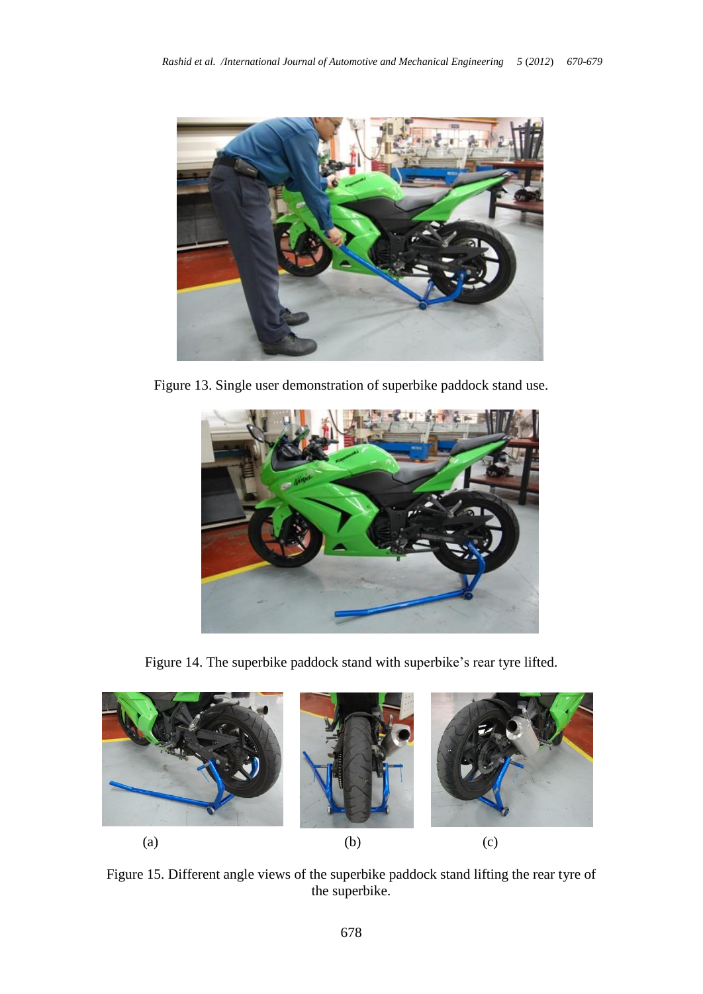

Figure 13. Single user demonstration of superbike paddock stand use.



Figure 14. The superbike paddock stand with superbike's rear tyre lifted.



Figure 15. Different angle views of the superbike paddock stand lifting the rear tyre of the superbike.